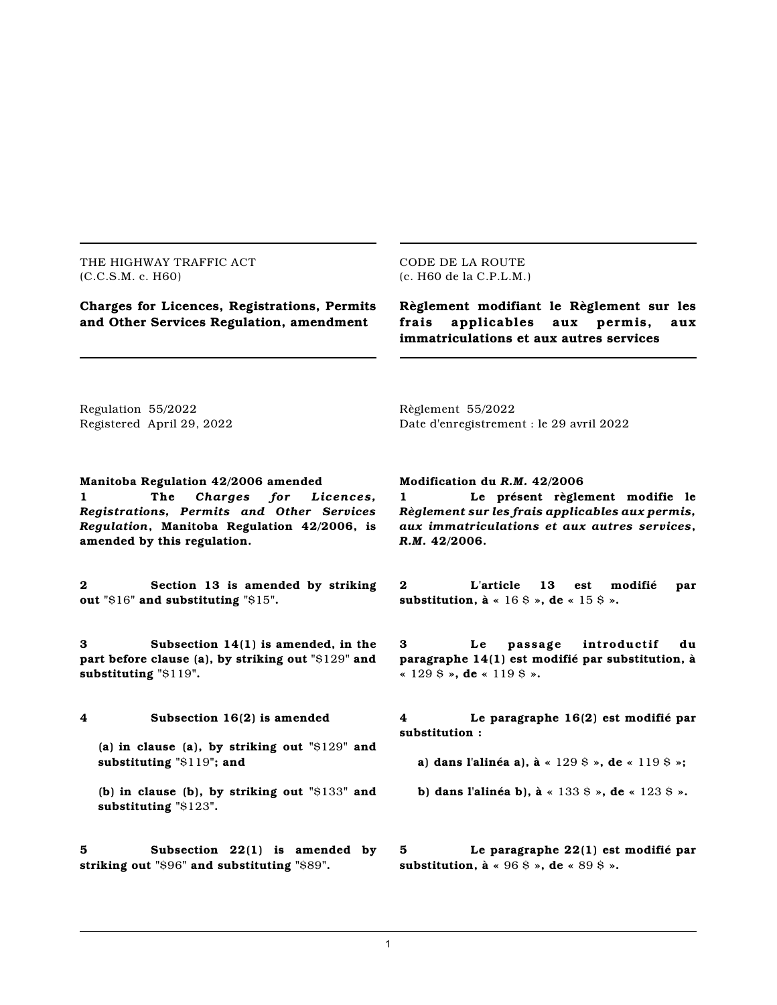THE HIGHWAY TRAFFIC ACT (C.C.S.M. c. H60)

CODE DE LA ROUTE (c. H60 de la C.P.L.M.)

**Charges for Licences, Registrations, Permits and Other Services Regulation, amendment**

**Règlement modifiant le Règlement sur les frais applicables aux permis, aux immatriculations et aux autres services**

Regulation 55/2022 Registered April 29, 2022 Règlement 55/2022 Date d'enregistrement : le 29 avril 2022

**Manitoba Regulation 42/2006 amended 1 The** *Charges for Licences, Registrations, Permits and Other Services Regulation***, Manitoba Regulation 42/2006, is amended by this regulation.**

**2 Section 13 is amended by striking out "**\$16**" and substituting "**\$15**".**

**3 Subsection 14(1) is amended, in the part before clause (a), by striking out "**\$129**" and substituting "**\$119**".**

**4 Subsection 16(2) is amended**

**(a) in clause (a), by striking out "**\$129**" and substituting "**\$119**"; and**

**(b) in clause (b), by striking out "**\$133**" and substituting "**\$123**".**

**5 Subsection 22(1) is amended by striking out "**\$96**" and substituting "**\$89**".**

**Modification du** *R.M.* **42/2006**

**1 Le présent règlement modifie le** *Règlement sur les frais applicables aux permis, aux immatriculations et aux autres services***,** *R.M.* **42/2006.**

**2 L'article 13 est modifié par substitution, à «** 16 \$ **», de «** 15 \$ **».**

**3 Le pas sag e int roductif du paragraphe 14(1) est modifié par substitution, à «** 129 \$ **», de «** 119 \$ **».**

**4 Le paragraphe 16(2) est modifié par substitution :**

**a) dans l'alinéa a), à «** 129 \$ **», de «** 119 \$ **»;**

**b) dans l'alinéa b), à «** 133 \$ **», de «** 123 \$ **».**

**5 Le paragraphe 22(1) est modifié par substitution, à «** 96 \$ **», de «** 89 \$ **».**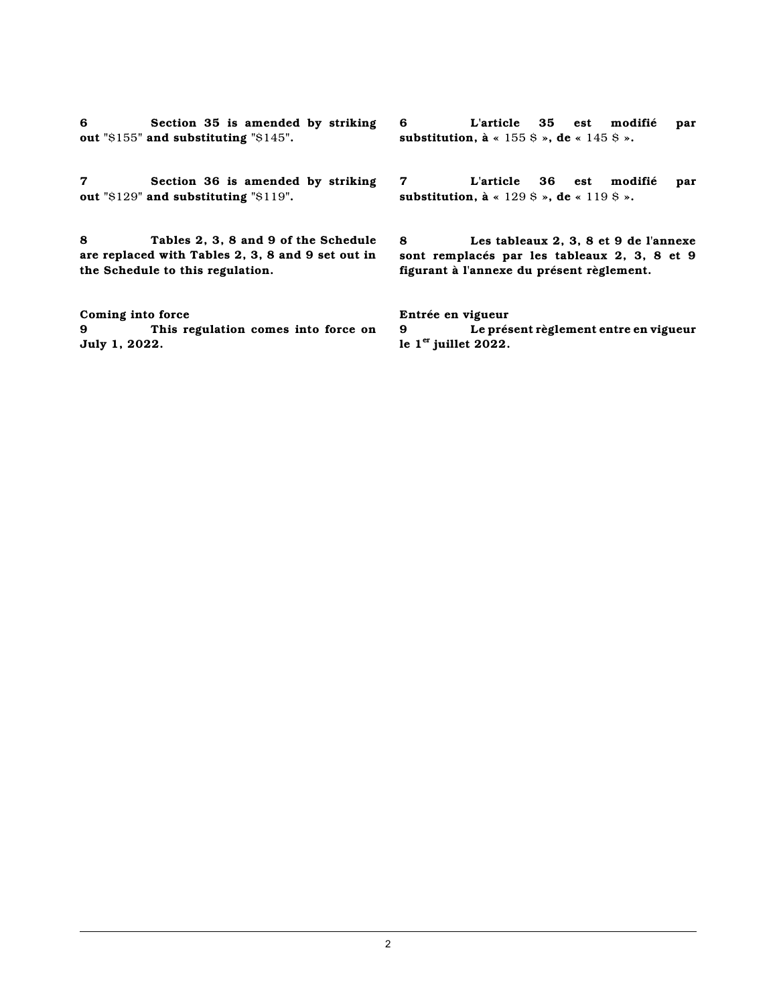**6 Section 35 is amended by striking out "**\$155**" and substituting "**\$145**".**

**7 Section 36 is amended by striking out "**\$129**" and substituting "**\$119**".**

**8 Tables 2, 3, 8 and 9 of the Schedule are replaced with Tables 2, 3, 8 and 9 set out in the Schedule to this regulation.**

**Coming into force 9 This regulation comes into force on July 1, 2022.**

**6 L'article 35 est modifié par substitution, à «** 155 \$ **», de «** 145 \$ **».**

**7 L'article 36 est modifié par substitution, à «** 129 \$ **», de «** 119 \$ **».**

**8 Les tableaux 2, 3, 8 et 9 de l'annexe sont remplacés par les tableaux 2, 3, 8 et 9 figurant à l'annexe du présent règlement.**

**Entrée en vigueur 9 Le présent règlement entre en vigueur le 1 er juillet 2022.**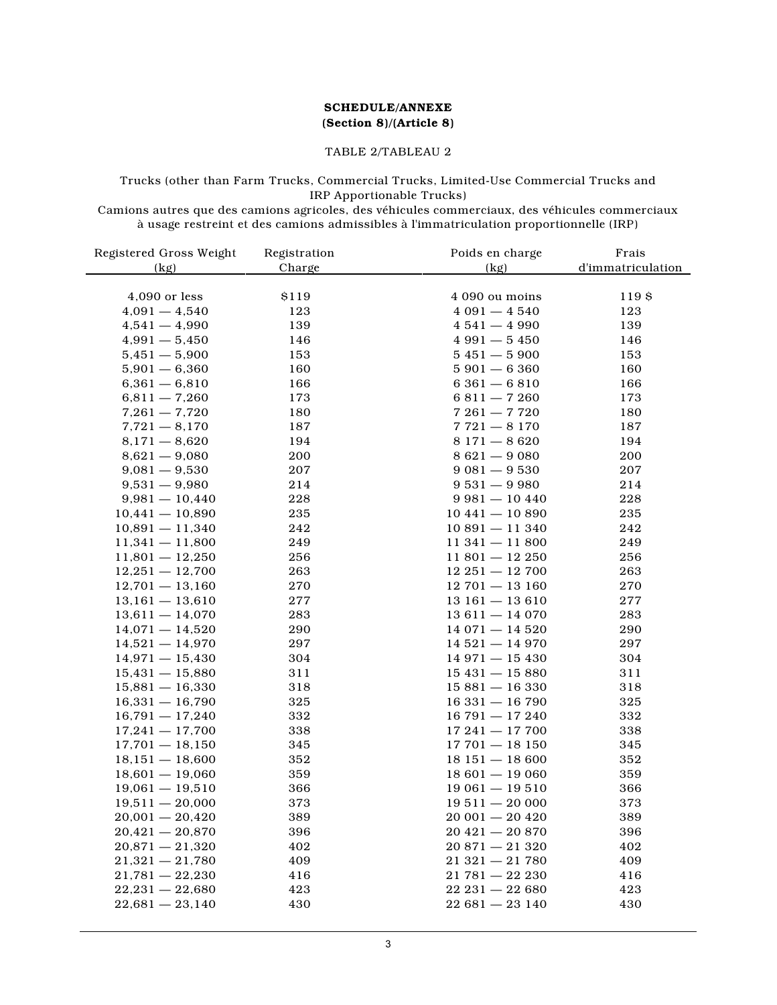#### **SCHEDULE/ANNEXE (Section 8)/(Article 8)**

#### TABLE 2/TABLEAU 2

#### Trucks (other than Farm Trucks, Commercial Trucks, Limited-Use Commercial Trucks and IRP Apportionable Trucks)

Camions autres que des camions agricoles, des véhicules commerciaux, des véhicules commerciaux à usage restreint et des camions admissibles à l'immatriculation proportionnelle (IRP)

| Registered Gross Weight                | Registration | Poids en charge                    | Frais             |
|----------------------------------------|--------------|------------------------------------|-------------------|
| (kg)                                   | Charge       | (kg)                               | d'immatriculation |
|                                        |              |                                    |                   |
| 4,090 or less                          | \$119        | 4 090 ou moins                     | 119 \$            |
| $4,091 - 4,540$                        | 123          | $4091 - 4540$                      | 123               |
| $4,541 - 4,990$                        | 139          | $4541 - 4990$                      | 139               |
| $4,991 - 5,450$                        | 146          | $4991 - 5450$                      | 146               |
| $5,451 - 5,900$                        | 153          | $5451 - 5900$                      | 153               |
| $5,901 - 6,360$                        | 160          | $5901 - 6360$                      | 160               |
| $6,361 - 6,810$                        | 166          | $6361 - 6810$                      | 166               |
| $6,811 - 7,260$                        | 173          | $6811 - 7260$                      | 173               |
| $7,261 - 7,720$                        | 180          | $7261 - 7720$                      | 180               |
| $7,721 - 8,170$                        | 187          | $7721 - 8170$                      | 187               |
| $8,171 - 8,620$                        | 194          | $8171 - 8620$                      | 194               |
| $8,621 - 9,080$                        | 200          | $8621 - 9080$                      | 200               |
| $9,081 - 9,530$                        | 207          | $9081 - 9530$                      | 207               |
| $9,531 - 9,980$                        | 214          | $9531 - 9980$                      | 214               |
| $9,981 - 10,440$                       | 228          | $9981 - 10440$                     | 228               |
| $10,441 - 10,890$                      | 235          | $10441 - 10890$                    | 235               |
| $10,891 - 11,340$                      | 242          | $10891 - 11340$                    | 242               |
| $11,341 - 11,800$                      | 249          | $11\,341 - 11\,800$                | 249               |
| $11,801 - 12,250$                      | 256          | $11801 - 12250$                    | 256               |
| $12,251 - 12,700$                      | 263          | $12\,251 - 12\,700$                | 263               |
| $12,701 - 13,160$                      | 270          | $12701 - 13160$                    | 270               |
| $13,161 - 13,610$                      | 277          | $13161 - 13610$                    | 277               |
| $13,611 - 14,070$                      | 283          | $13611 - 14070$                    | 283               |
| $14,071 - 14,520$                      | 290          | $14071 - 14520$                    | 290               |
| $14,521 - 14,970$                      | 297          | $14521 - 14970$                    | 297               |
| $14,971 - 15,430$                      | 304          | $14971 - 15430$                    | 304               |
| $15,431 - 15,880$                      | 311          | $15431 - 15880$                    | 311               |
| $15,881 - 16,330$                      | 318          | $15881 - 16330$                    | 318               |
| $16,331 - 16,790$                      | 325          | $16331 - 16790$                    | 325               |
| $16,791 - 17,240$                      | 332          | $16791 - 17240$                    | 332               |
| $17,241 - 17,700$                      | 338          | $17241 - 17700$                    | 338               |
| $17,701 - 18,150$                      | 345          | $17701 - 18150$                    | 345               |
| $18,151 - 18,600$                      | 352          | $18151 - 18600$                    | 352               |
| $18,601 - 19,060$                      | 359          | $18601 - 19060$                    | 359               |
| $19,061 - 19,510$                      | 366          | $19061 - 19510$                    | 366               |
| $19,511 - 20,000$                      | 373          | $19511 - 20000$                    | 373               |
|                                        |              |                                    |                   |
| $20,001 - 20,420$<br>$20,421 - 20,870$ | 389<br>396   | $20001 - 20420$<br>$20421 - 20870$ | 389<br>396        |
| $20,871 - 21,320$                      | 402          | $20871 - 21320$                    | 402               |
| $21,321 - 21,780$                      | 409          | $21321 - 21780$                    | 409               |
| $21,781 - 22,230$                      |              |                                    |                   |
|                                        | 416          | $21781 - 22230$                    | 416               |
| $22,231 - 22,680$                      | 423          | $22\ 231 - 22\ 680$                | 423               |
| $22,681 - 23,140$                      | 430          | $22681 - 23140$                    | 430               |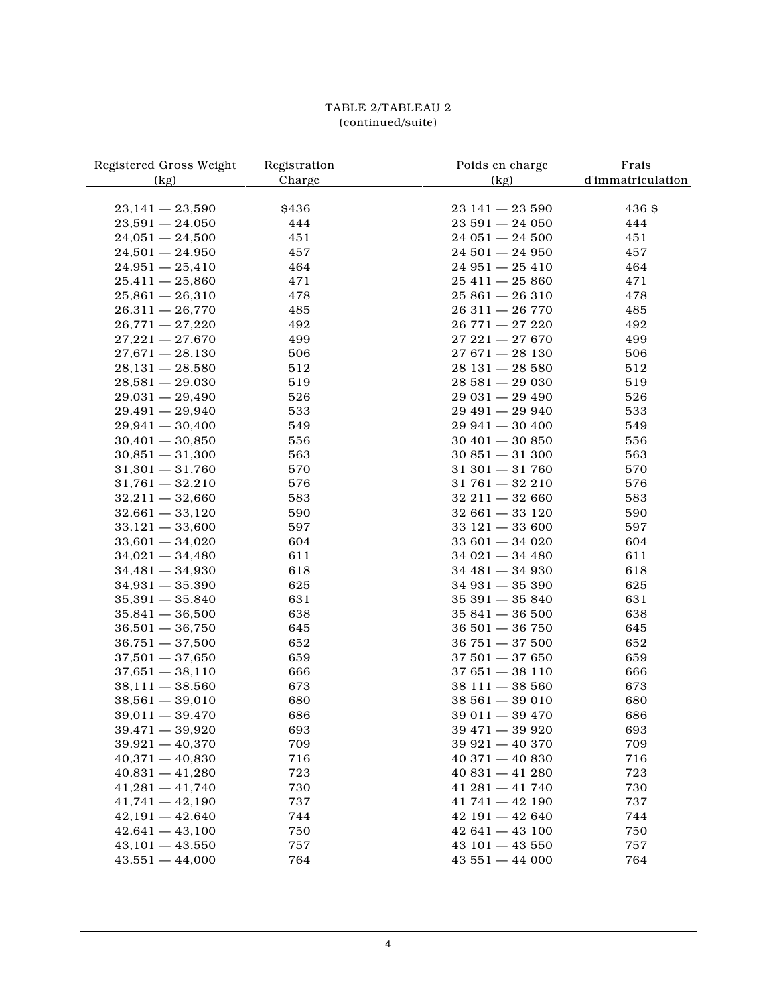# TABLE 2/TABLEAU 2 (continued/suite)

| Registered Gross Weight | Registration | Poids en charge     | Frais             |
|-------------------------|--------------|---------------------|-------------------|
| (kg)                    | Charge       | (kg)                | d'immatriculation |
|                         |              |                     |                   |
| $23,141 - 23,590$       | \$436        | $23141 - 23590$     | 436 S             |
| $23,591 - 24,050$       | 444          | $23591 - 24050$     | 444               |
| $24,051 - 24,500$       | 451          | $24051 - 24500$     | 451               |
| $24,501 - 24,950$       | 457          | $24501 - 24950$     | 457               |
| $24,951 - 25,410$       | 464          | $24951 - 25410$     | 464               |
| $25,411 - 25,860$       | 471          | $25411 - 25860$     | 471               |
| $25,861 - 26,310$       | 478          | $25861 - 26310$     | 478               |
| $26,311 - 26,770$       | 485          | $26311 - 26770$     | 485               |
| $26,771 - 27,220$       | 492          | $26771 - 27220$     | 492               |
| $27,221 - 27,670$       | 499          | $27\,221 - 27\,670$ | 499               |
| $27,671 - 28,130$       | 506          | $27671 - 28130$     | 506               |
| $28,131 - 28,580$       | 512          | $28131 - 28580$     | 512               |
| $28,581 - 29,030$       | 519          | $28581 - 29030$     | 519               |
| $29,031 - 29,490$       | 526          | $29031 - 29490$     | 526               |
| $29,491 - 29,940$       | 533          | $29491 - 29940$     | 533               |
| $29,941 - 30,400$       | 549          | $29941 - 30400$     | 549               |
| $30,401 - 30,850$       | 556          | $30401 - 30850$     | 556               |
| $30,851 - 31,300$       | 563          | $30851 - 31300$     | 563               |
| $31,301 - 31,760$       | 570          | $31301 - 31760$     | 570               |
| $31,761 - 32,210$       | 576          | $31761 - 32210$     | 576               |
| $32,211 - 32,660$       | 583          | $32211 - 32660$     | 583               |
| $32,661 - 33,120$       | 590          | $32661 - 33120$     | 590               |
| $33,121 - 33,600$       | 597          | $33121 - 33600$     | 597               |
| $33,601 - 34,020$       | 604          | $33601 - 34020$     | 604               |
| $34,021 - 34,480$       | 611          | $34021 - 34480$     | 611               |
| $34,481 - 34,930$       | 618          | $34481 - 34930$     | 618               |
| $34,931 - 35,390$       | 625          | $34931 - 35390$     | 625               |
| $35,391 - 35,840$       | 631          | $35391 - 35840$     | 631               |
| $35,841 - 36,500$       | 638          | $35841 - 36500$     | 638               |
| $36,501 - 36,750$       | 645          | $36501 - 36750$     | 645               |
| $36,751 - 37,500$       | 652          | $36751 - 37500$     | 652               |
| $37,501 - 37,650$       | 659          | $37501 - 37650$     | 659               |
| $37,651 - 38,110$       | 666          | $37651 - 38110$     | 666               |
| $38,111 - 38,560$       |              |                     |                   |
|                         | 673          | $38111 - 38560$     | 673               |
| $38,561 - 39,010$       | 680          | $38561 - 39010$     | 680               |
| $39,011 - 39,470$       | 686          | $39011 - 39470$     | 686               |
| $39,471 - 39,920$       | 693          | $39\,471 - 39\,920$ | 693               |
| $39,921 - 40,370$       | 709          | $39921 - 40370$     | 709               |
| $40,371 - 40,830$       | 716          | $40371 - 40830$     | 716               |
| $40,831 - 41,280$       | 723          | $40831 - 41280$     | 723               |
| $41,281 - 41,740$       | 730          | $41\,281 - 41\,740$ | 730               |
| $41,741 - 42,190$       | 737          | $41741 - 42190$     | 737               |
| $42,191 - 42,640$       | 744          | $42191 - 42640$     | 744               |
| $42,641 - 43,100$       | 750          | $42641 - 43100$     | 750               |
| $43,101 - 43,550$       | 757          | $43101 - 43550$     | 757               |
| $43,551 - 44,000$       | 764          | $43551 - 44000$     | 764               |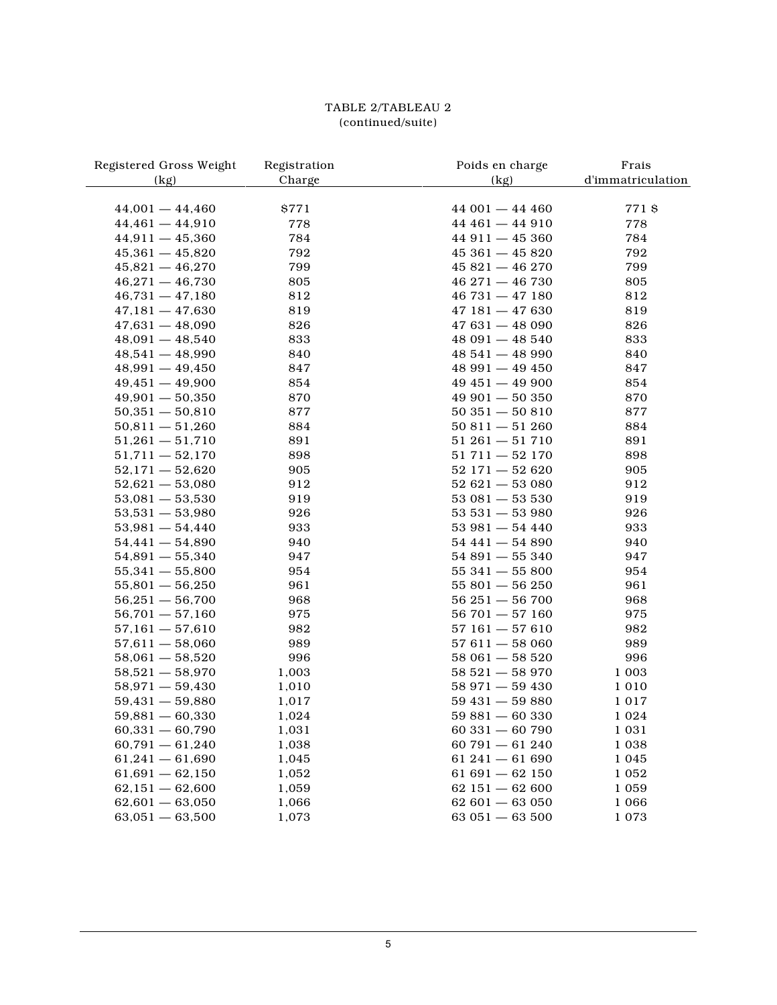# TABLE 2/TABLEAU 2 (continued/suite)

| Registered Gross Weight | Registration | Poids en charge     | Frais             |
|-------------------------|--------------|---------------------|-------------------|
| (kg)                    | Charge       | (kg)                | d'immatriculation |
|                         |              |                     |                   |
| $44,001 - 44,460$       | 8771         | $44001 - 44400$     | 7718              |
| $44,461 - 44,910$       | 778          | $44461 - 44910$     | 778               |
| $44,911 - 45,360$       | 784          | $44911 - 45360$     | 784               |
| $45,361 - 45,820$       | 792          | $45361 - 45820$     | 792               |
| $45,821 - 46,270$       | 799          | $45821 - 46270$     | 799               |
| $46,271 - 46,730$       | 805          | $46271 - 46730$     | 805               |
| $46,731 - 47,180$       | 812          | $46731 - 47180$     | 812               |
| $47,181 - 47,630$       | 819          | $47181 - 47630$     | 819               |
| $47,631 - 48,090$       | 826          | $47631 - 48090$     | 826               |
| $48,091 - 48,540$       | 833          | $48091 - 48540$     | 833               |
| $48,541 - 48,990$       | 840          | $48541 - 48900$     | 840               |
| $48,991 - 49,450$       | 847          | $48991 - 49450$     | 847               |
| $49,451 - 49,900$       | 854          | $49451 - 49900$     | 854               |
| $49,901 - 50,350$       | 870          | 49 901 - 50 350     | 870               |
| $50,351 - 50,810$       | 877          | $50351 - 50810$     | 877               |
| $50,811 - 51,260$       | 884          | $50811 - 51260$     | 884               |
| $51,261 - 51,710$       | 891          | $51261 - 51710$     | 891               |
| $51,711 - 52,170$       | 898          | $51711 - 52170$     | 898               |
| $52,171 - 52,620$       | 905          | $52\;171 - 52\;620$ | 905               |
| $52,621 - 53,080$       | 912          | $52\;621 - 53\;080$ | 912               |
| $53,081 - 53,530$       | 919          | $53081 - 53530$     | 919               |
| $53,531 - 53,980$       | 926          | $53531 - 53980$     | 926               |
| $53,981 - 54,440$       | 933          | $53981 - 54440$     | 933               |
| $54,441 - 54,890$       | 940          | $54441 - 54890$     | 940               |
| $54,891 - 55,340$       | 947          | $54891 - 55340$     | 947               |
| $55,341 - 55,800$       | 954          | $55341 - 55800$     | 954               |
| $55,801 - 56,250$       | 961          | $55801 - 56250$     | 961               |
| $56,251 - 56,700$       | 968          | $56251 - 56700$     | 968               |
| $56,701 - 57,160$       | 975          | $56\ 701 - 57\ 160$ | 975               |
| $57,161 - 57,610$       | 982          | $57161 - 57610$     | 982               |
| $57,611 - 58,060$       | 989          | $57611 - 58060$     | 989               |
| $58,061 - 58,520$       | 996          | $58061 - 58520$     | 996               |
| $58,521 - 58,970$       | 1,003        | $58521 - 58970$     | 1 0 0 3           |
| $58,971 - 59,430$       | 1,010        | $58971 - 59430$     | 1010              |
| $59,431 - 59,880$       | 1,017        | $59431 - 59880$     | 1017              |
| $59,881 - 60,330$       | 1,024        | $59881 - 60330$     | 1 0 2 4           |
| $60,331 - 60,790$       | 1,031        | $60331 - 60790$     | 1 0 3 1           |
| $60,791 - 61,240$       | 1,038        | $60791 - 61240$     | 1 0 3 8           |
| $61,241 - 61,690$       | 1,045        | $61241 - 61690$     | 1 0 4 5           |
| $61,691 - 62,150$       | 1,052        | $61691 - 62150$     | 1 0 5 2           |
| $62,151 - 62,600$       | 1,059        | $62151 - 62600$     | 1 0 5 9           |
| $62,601 - 63,050$       | 1,066        | $62601 - 63050$     | 1 0 6 6           |
| $63,051 - 63,500$       | 1,073        | $63051 - 63500$     | 1073              |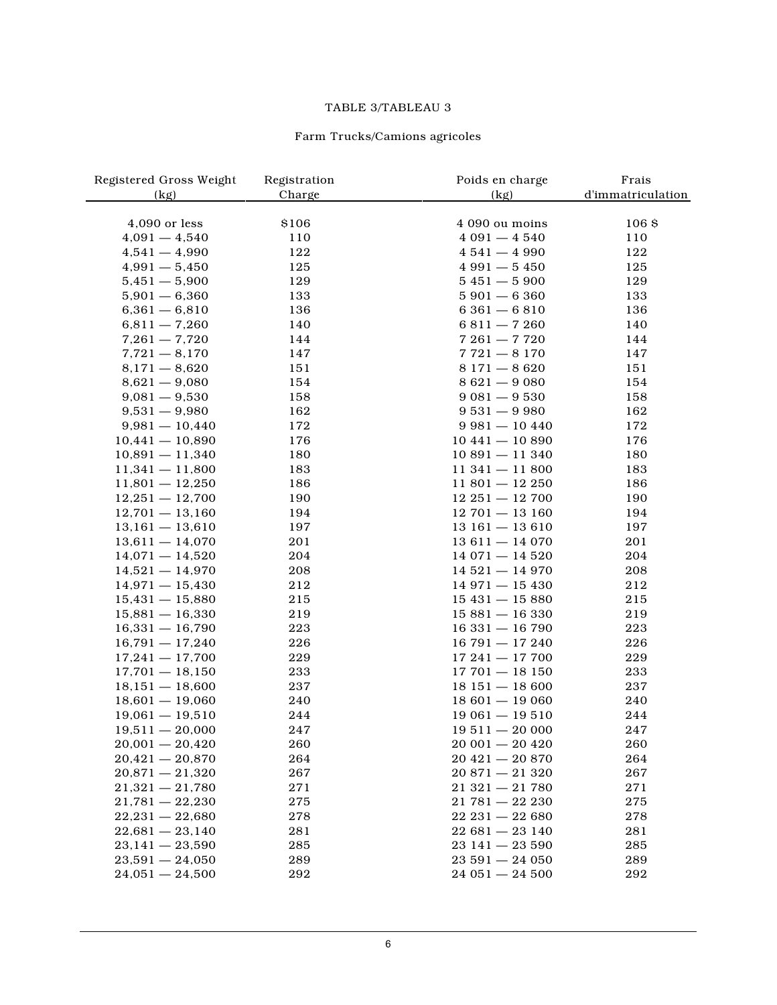#### TABLE 3/TABLEAU 3

# Farm Trucks/Camions agricoles

| Registered Gross Weight | Registration | Poids en charge     | Frais             |
|-------------------------|--------------|---------------------|-------------------|
| (kg)                    | Charge       | (kg)                | d'immatriculation |
|                         |              |                     |                   |
| 4,090 or less           | \$106        | 4 090 ou moins      | 106 <sub>8</sub>  |
| $4,091 - 4,540$         | 110          | $4091 - 4540$       | 110               |
| $4,541 - 4,990$         | 122          | $4541 - 4990$       | 122               |
| $4,991 - 5,450$         | 125          | $4991 - 5450$       | 125               |
| $5,451 - 5,900$         | 129          | $5451 - 5900$       | 129               |
| $5,901 - 6,360$         | 133          | $5901 - 6360$       | 133               |
| $6,361 - 6,810$         | 136          | $6361 - 6810$       | 136               |
| $6,811 - 7,260$         | 140          | $6811 - 7260$       | 140               |
| $7,261 - 7,720$         | 144          | $7261 - 7720$       | 144               |
| $7,721 - 8,170$         | 147          | $7721 - 8170$       | 147               |
| $8,171 - 8,620$         | 151          | $8171 - 8620$       | 151               |
| $8,621 - 9,080$         | 154          | $8621 - 9080$       | 154               |
| $9,081 - 9,530$         | 158          | $9081 - 9530$       | 158               |
| $9,531 - 9,980$         | 162          | $9531 - 9980$       | 162               |
| $9,981 - 10,440$        | 172          | $9981 - 10440$      | 172               |
| $10,441 - 10,890$       | 176          | $10441 - 10890$     | 176               |
| $10,891 - 11,340$       | 180          | $10891 - 11340$     | 180               |
| $11,341 - 11,800$       | 183          | $11\,341 - 11\,800$ | 183               |
| $11,801 - 12,250$       | 186          | $11801 - 12250$     | 186               |
| $12,251 - 12,700$       | 190          | $12\,251 - 12\,700$ | 190               |
| $12,701 - 13,160$       | 194          | $12701 - 13160$     | 194               |
| $13,161 - 13,610$       | 197          | $13161 - 13610$     | 197               |
| $13,611 - 14,070$       | 201          | $13611 - 14070$     | 201               |
| $14,071 - 14,520$       | 204          | $14071 - 14520$     | 204               |
| $14,521 - 14,970$       | 208          | $14521 - 14970$     | 208               |
| $14,971 - 15,430$       | 212          | $14971 - 15430$     | 212               |
| $15,431 - 15,880$       | 215          | $15431 - 15880$     | 215               |
| $15,881 - 16,330$       | 219          | $15881 - 16330$     | 219               |
| $16,331 - 16,790$       | 223          | $16331 - 16790$     | 223               |
| $16,791 - 17,240$       | 226          | $16791 - 17240$     | 226               |
| $17,241 - 17,700$       | 229          | $17241 - 17700$     | 229               |
| $17,701 - 18,150$       | 233          | $17701 - 18150$     | 233               |
| $18,151 - 18,600$       | 237          | $18151 - 18600$     | 237               |
| $18,601 - 19,060$       | 240          | $18601 - 19060$     | 240               |
| $19,061 - 19,510$       | 244          | $19061 - 19510$     | 244               |
| $19,511 - 20,000$       | 247          | $19511 - 20000$     | 247               |
| $20,001 - 20,420$       | 260          | $20001 - 20420$     | 260               |
| $20,421 - 20,870$       | 264          | $20421 - 20870$     | 264               |
| $20,871 - 21,320$       | 267          | $20871 - 21320$     | 267               |
| $21,321 - 21,780$       | 271          | $21321 - 21780$     | 271               |
| $21,781 - 22,230$       | 275          | $21781 - 22230$     | 275               |
| $22,231 - 22,680$       | 278          | $22\ 231 - 22\ 680$ | 278               |
| $22,681 - 23,140$       | 281          | $22681 - 23140$     | 281               |
| $23,141 - 23,590$       | 285          | $23141 - 23590$     | 285               |
| $23,591 - 24,050$       | 289          | $23591 - 24050$     | 289               |
| $24,051 - 24,500$       | 292          | $24051 - 24500$     | 292               |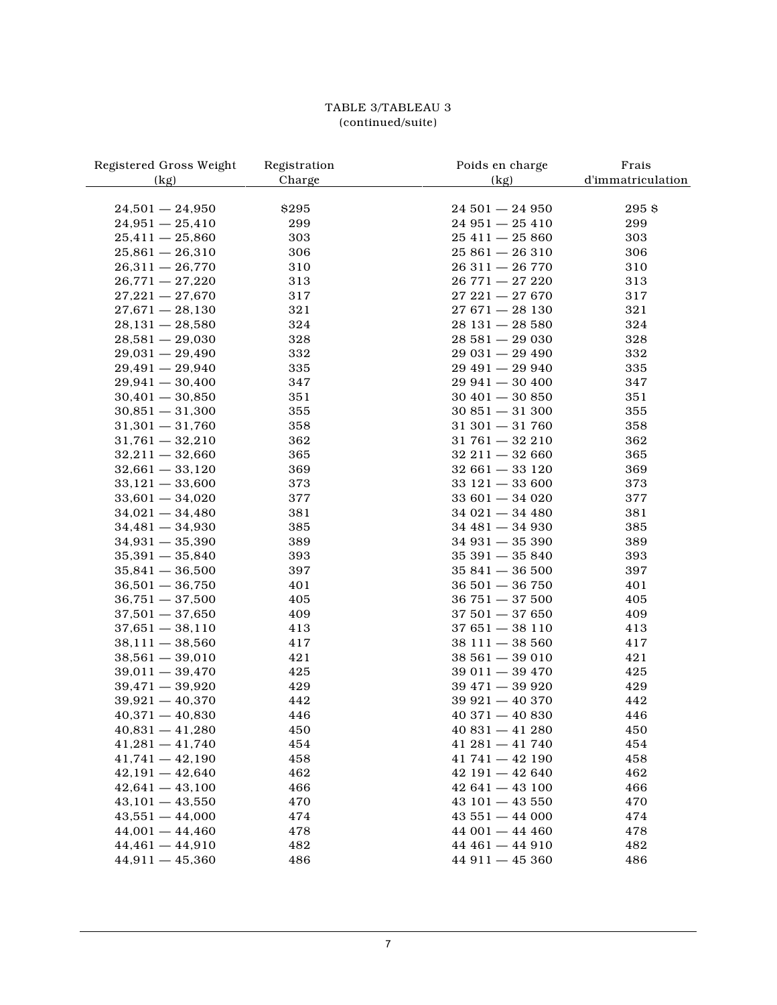# TABLE 3/TABLEAU 3 (continued/suite)

| Registered Gross Weight | Registration | Poids en charge     | Frais             |
|-------------------------|--------------|---------------------|-------------------|
| (kg)                    | Charge       | (kg)                | d'immatriculation |
|                         |              |                     |                   |
| $24,501 - 24,950$       | \$295        | $24501 - 24950$     | 295\$             |
| $24,951 - 25,410$       | 299          | $24951 - 25410$     | 299               |
| $25,411 - 25,860$       | 303          | $25411 - 25860$     | 303               |
| $25,861 - 26,310$       | 306          | $25861 - 26310$     | 306               |
| $26,311 - 26,770$       | 310          | $26311 - 26770$     | 310               |
| $26,771 - 27,220$       | 313          | $26771 - 27220$     | 313               |
| $27,221 - 27,670$       | 317          | $27221 - 27670$     | 317               |
| $27,671 - 28,130$       | 321          | $27671 - 28130$     | 321               |
| $28,131 - 28,580$       | 324          | $28131 - 28580$     | 324               |
| $28,581 - 29,030$       | 328          | $28581 - 29030$     | 328               |
| $29,031 - 29,490$       | 332          | $29031 - 29490$     | 332               |
| $29,491 - 29,940$       | 335          | $29491 - 29940$     | 335               |
| $29,941 - 30,400$       | 347          | $29941 - 30400$     | 347               |
| $30,401 - 30,850$       | 351          | $30401 - 30850$     | 351               |
| $30,851 - 31,300$       | 355          | $30851 - 31300$     | 355               |
| $31,301 - 31,760$       | 358          | $31301 - 31760$     | 358               |
| $31,761 - 32,210$       | 362          | $31761 - 32210$     | 362               |
| $32,211 - 32,660$       | 365          | $32211 - 32660$     | 365               |
| $32,661 - 33,120$       | 369          | $32661 - 33120$     | 369               |
| $33,121 - 33,600$       | 373          | $33121 - 33600$     | 373               |
| $33,601 - 34,020$       | 377          | $33601 - 34020$     | 377               |
| $34,021 - 34,480$       | 381          | $34021 - 34480$     | 381               |
| $34,481 - 34,930$       | 385          | $34481 - 34930$     | 385               |
| $34,931 - 35,390$       | 389          | $34931 - 35390$     | 389               |
| $35,391 - 35,840$       | 393          | $35391 - 35840$     | 393               |
| $35,841 - 36,500$       | 397          | $35841 - 36500$     | 397               |
| $36,501 - 36,750$       | 401          | $36501 - 36750$     | 401               |
| $36,751 - 37,500$       | 405          | $36751 - 37500$     | 405               |
| $37,501 - 37,650$       | 409          | $37501 - 37650$     | 409               |
| $37,651 - 38,110$       | 413          | $37651 - 38110$     | 413               |
| $38,111 - 38,560$       | 417          | $38111 - 38560$     | 417               |
| $38,561 - 39,010$       | 421          | $38561 - 39010$     | 421               |
| $39,011 - 39,470$       | 425          | $39011 - 39470$     | 425               |
| $39,471 - 39,920$       | 429          | $39471 - 39920$     | 429               |
| $39,921 - 40,370$       | 442          | $39921 - 40370$     | 442               |
| $40,371 - 40,830$       | 446          | $40371 - 40830$     | 446               |
| $40,831 - 41,280$       | 450          | $40831 - 41280$     | 450               |
| $41,281 - 41,740$       | 454          | $41\ 281 - 41\ 740$ | 454               |
| $41,741 - 42,190$       | 458          | $41741 - 42190$     | 458               |
| $42,191 - 42,640$       | 462          | $42191 - 42640$     | 462               |
| $42,641 - 43,100$       | 466          | $42641 - 43100$     | 466               |
| $43,101 - 43,550$       | 470          | $43101 - 43550$     | 470               |
| $43,551 - 44,000$       | 474          | $43551 - 44000$     | 474               |
| $44,001 - 44,460$       | 478          | $44001 - 4440$      | 478               |
| $44,461 - 44,910$       | 482          | $44461 - 44910$     | 482               |
| $44,911 - 45,360$       | 486          | $44911 - 45360$     | 486               |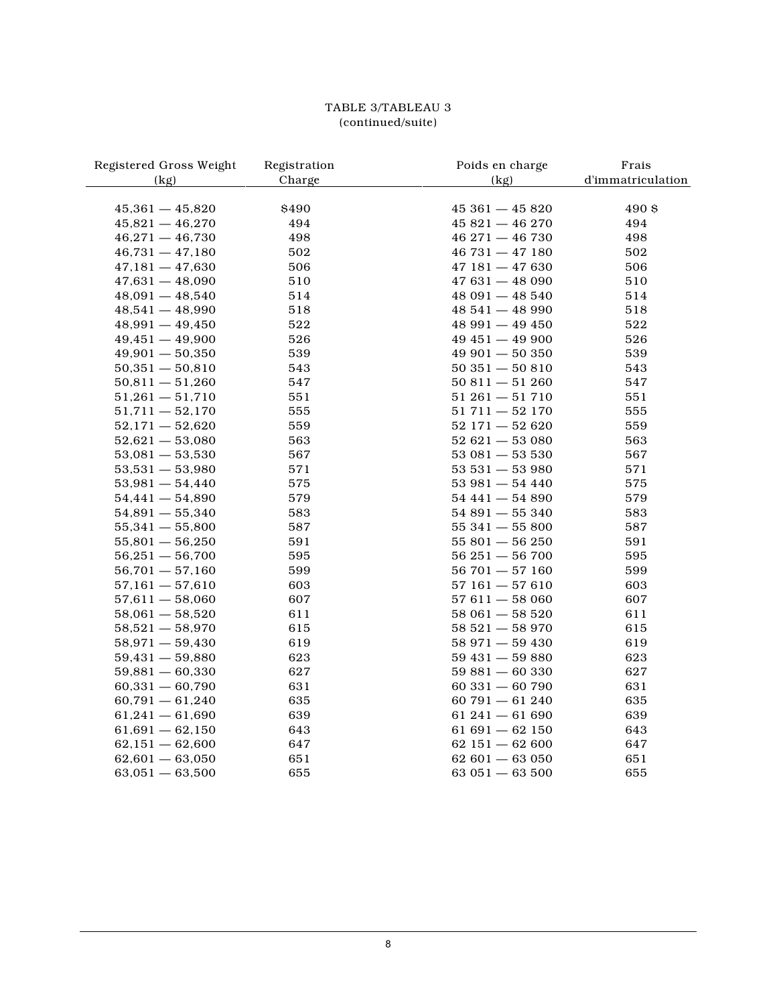# TABLE 3/TABLEAU 3 (continued/suite)

| Registered Gross Weight | Registration | Poids en charge | Frais             |
|-------------------------|--------------|-----------------|-------------------|
| (kg)                    | Charge       | (kg)            | d'immatriculation |
|                         |              |                 |                   |
| $45,361 - 45,820$       | \$490        | $45361 - 45820$ | 490 \$            |
| $45,821 - 46,270$       | 494          | $45821 - 46270$ | 494               |
| $46,271 - 46,730$       | 498          | $46271 - 46730$ | 498               |
| $46,731 - 47,180$       | 502          | $46731 - 47180$ | 502               |
| $47,181 - 47,630$       | 506          | $47181 - 47630$ | 506               |
| $47,631 - 48,090$       | 510          | $47631 - 48090$ | 510               |
| $48,091 - 48,540$       | 514          | $48091 - 48540$ | 514               |
| $48,541 - 48,990$       | 518          | $48541 - 4890$  | 518               |
| $48,991 - 49,450$       | 522          | $48991 - 49450$ | 522               |
| $49,451 - 49,900$       | 526          | $49451 - 49900$ | 526               |
| $49,901 - 50,350$       | 539          | $49901 - 50350$ | 539               |
| $50,351 - 50,810$       | 543          | $50351 - 50810$ | 543               |
| $50,811 - 51,260$       | 547          | $50811 - 51260$ | 547               |
| $51,261 - 51,710$       | 551          | $51261 - 51710$ | 551               |
| $51,711 - 52,170$       | 555          | $51711 - 52170$ | 555               |
| $52,171 - 52,620$       | 559          | $52171 - 52620$ | 559               |
| $52,621 - 53,080$       | 563          | $52621 - 53080$ | 563               |
| $53,081 - 53,530$       | 567          | $53081 - 53530$ | 567               |
| $53,531 - 53,980$       | 571          | $53531 - 53980$ | 571               |
| $53,981 - 54,440$       | 575          | $53981 - 54440$ | 575               |
| $54,441 - 54,890$       | 579          | $54441 - 54890$ | 579               |
| $54,891 - 55,340$       | 583          | $54891 - 55340$ | 583               |
| $55,341 - 55,800$       | 587          | $55341 - 55800$ | 587               |
| $55,801 - 56,250$       | 591          | $55801 - 56250$ | 591               |
| $56,251 - 56,700$       | 595          | $56251 - 56700$ | 595               |
| $56,701 - 57,160$       | 599          | $56701 - 57160$ | 599               |
| $57,161 - 57,610$       | 603          | $57161 - 57610$ | 603               |
| $57,611 - 58,060$       | 607          | $57611 - 58060$ | 607               |
| $58,061 - 58,520$       | 611          | $58061 - 58520$ | 611               |
| $58,521 - 58,970$       | 615          | $58521 - 58970$ | 615               |
| $58,971 - 59,430$       | 619          | $58971 - 59430$ | 619               |
| $59,431 - 59,880$       | 623          | $59431 - 59880$ | 623               |
| $59,881 - 60,330$       | 627          | $59881 - 60330$ | 627               |
| $60,331 - 60,790$       | 631          | $60331 - 60790$ | 631               |
| $60,791 - 61,240$       | 635          | $60791 - 61240$ | 635               |
| $61,241 - 61,690$       | 639          | $61241 - 61690$ | 639               |
| $61,691 - 62,150$       | 643          | $61691 - 62150$ | 643               |
| $62,151 - 62,600$       | 647          | $62151 - 62600$ | 647               |
| $62,601 - 63,050$       | 651          | $62601 - 63050$ | 651               |
| $63,051 - 63,500$       | 655          | $63051 - 63500$ | 655               |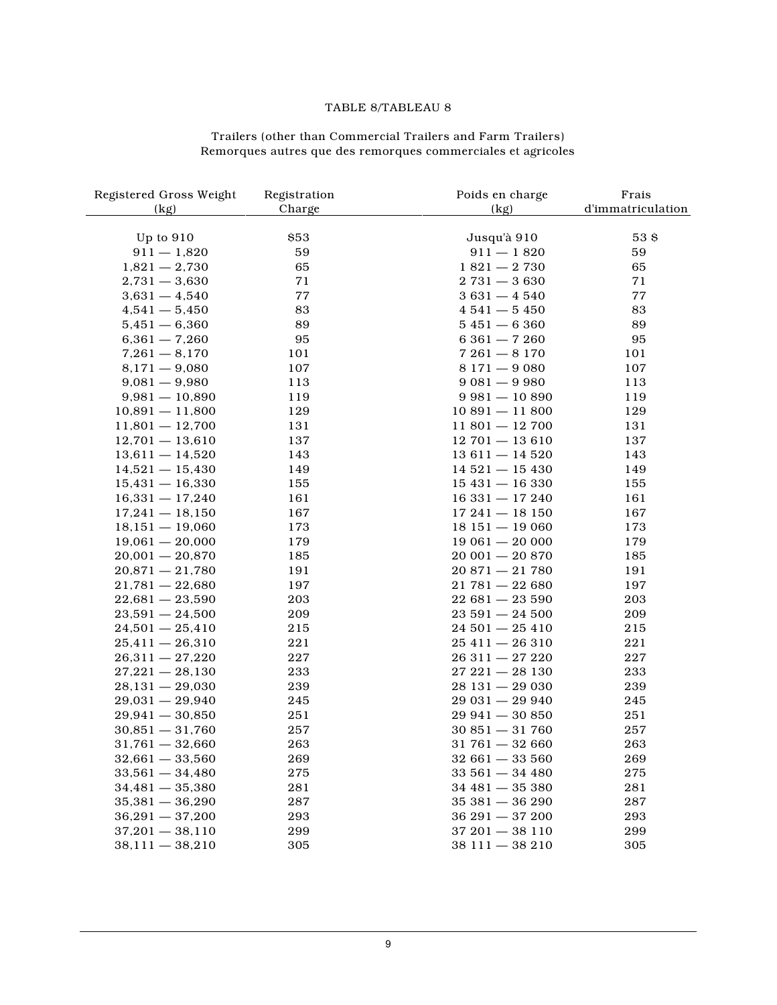#### TABLE 8/TABLEAU 8

#### Trailers (other than Commercial Trailers and Farm Trailers) Remorques autres que des remorques commerciales et agricoles

| Registered Gross Weight | Registration | Poids en charge     | Frais             |
|-------------------------|--------------|---------------------|-------------------|
| (kg)                    | Charge       | (kg)                | d'immatriculation |
|                         |              |                     |                   |
| Up to $910$             | \$53         | Jusqu'à 910         | 53 \$             |
| $911 - 1,820$           | 59           | $911 - 1820$        | 59                |
| $1,821 - 2,730$         | 65           | $1821 - 2730$       | 65                |
| $2,731 - 3,630$         | 71           | $2731 - 3630$       | 71                |
| $3,631 - 4,540$         | 77           | $3631 - 4540$       | 77                |
| $4,541 - 5,450$         | 83           | $4541 - 5450$       | 83                |
| $5,451 - 6,360$         | 89           | $5451 - 6360$       | 89                |
| $6,361 - 7,260$         | 95           | $6361 - 7260$       | 95                |
| $7,261 - 8,170$         | 101          | $7261 - 8170$       | 101               |
| $8,171 - 9,080$         | 107          | $8171 - 9080$       | 107               |
| $9,081 - 9,980$         | 113          | $9081 - 9980$       | 113               |
| $9,981 - 10,890$        | 119          | $9981 - 10890$      | 119               |
| $10,891 - 11,800$       | 129          | $10891 - 11800$     | 129               |
| $11,801 - 12,700$       | 131          | $11801 - 12700$     | 131               |
| $12,701 - 13,610$       | 137          | $12701 - 13610$     | 137               |
| $13,611 - 14,520$       | 143          | $13611 - 14520$     | 143               |
| $14,521 - 15,430$       | 149          | $14521 - 15430$     | 149               |
| $15,431 - 16,330$       | 155          | $15431 - 16330$     | 155               |
| $16,331 - 17,240$       | 161          | $16331 - 17240$     | 161               |
| $17,241 - 18,150$       | 167          | $17241 - 18150$     | 167               |
| $18,151 - 19,060$       | 173          | $18151 - 19060$     | 173               |
| $19,061 - 20,000$       | 179          | $19061 - 20000$     | 179               |
| $20,001 - 20,870$       | 185          | $20001 - 20870$     | 185               |
| $20,871 - 21,780$       | 191          | $20871 - 21780$     | 191               |
| $21,781 - 22,680$       | 197          | $21781 - 22680$     | 197               |
| $22,681 - 23,590$       | 203          | $22681 - 23590$     | 203               |
| $23,591 - 24,500$       | 209          | $23591 - 24500$     | 209               |
| $24,501 - 25,410$       | 215          | $24501 - 25410$     | 215               |
| $25,411 - 26,310$       | 221          | $25411 - 26310$     | 221               |
| $26,311 - 27,220$       | 227          | $26311 - 27220$     | $227\,$           |
| $27,221 - 28,130$       | 233          | $27\,221 - 28\,130$ | 233               |
| $28,131 - 29,030$       | 239          | $28131 - 29030$     | 239               |
| $29,031 - 29,940$       | 245          | $29031 - 29940$     | 245               |
| $29,941 - 30,850$       | 251          | $29941 - 30850$     | 251               |
| $30,851 - 31,760$       | 257          | $30851 - 31760$     | 257               |
| $31,761 - 32,660$       | 263          | $31761 - 32660$     | 263               |
| $32,661 - 33,560$       | 269          | $32661 - 33560$     | 269               |
| $33,561 - 34,480$       | 275          | $33\,561 - 34\,480$ | $275\,$           |
| $34,481 - 35,380$       | 281          | $34481 - 35380$     | 281               |
| $35,381 - 36,290$       | 287          | $35381 - 36290$     | 287               |
| $36,291 - 37,200$       | 293          | $36291 - 37200$     | 293               |
| $37,201 - 38,110$       | 299          | $37\,201 - 38\,110$ | 299               |
| $38,111 - 38,210$       | 305          | $38111 - 38210$     | 305               |